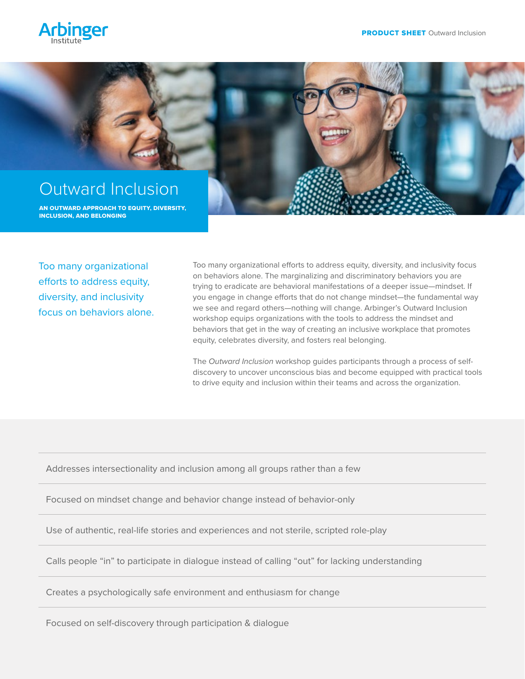



Too many organizational efforts to address equity, diversity, and inclusivity focus on behaviors alone. Too many organizational efforts to address equity, diversity, and inclusivity focus on behaviors alone. The marginalizing and discriminatory behaviors you are trying to eradicate are behavioral manifestations of a deeper issue—mindset. If you engage in change efforts that do not change mindset—the fundamental way we see and regard others—nothing will change. Arbinger's Outward Inclusion workshop equips organizations with the tools to address the mindset and behaviors that get in the way of creating an inclusive workplace that promotes equity, celebrates diversity, and fosters real belonging.

The *Outward Inclusion* workshop guides participants through a process of selfdiscovery to uncover unconscious bias and become equipped with practical tools to drive equity and inclusion within their teams and across the organization.

Addresses intersectionality and inclusion among all groups rather than a few

Focused on mindset change and behavior change instead of behavior-only

Use of authentic, real-life stories and experiences and not sterile, scripted role-play

Calls people "in" to participate in dialogue instead of calling "out" for lacking understanding

Creates a psychologically safe environment and enthusiasm for change

Focused on self-discovery through participation & dialogue